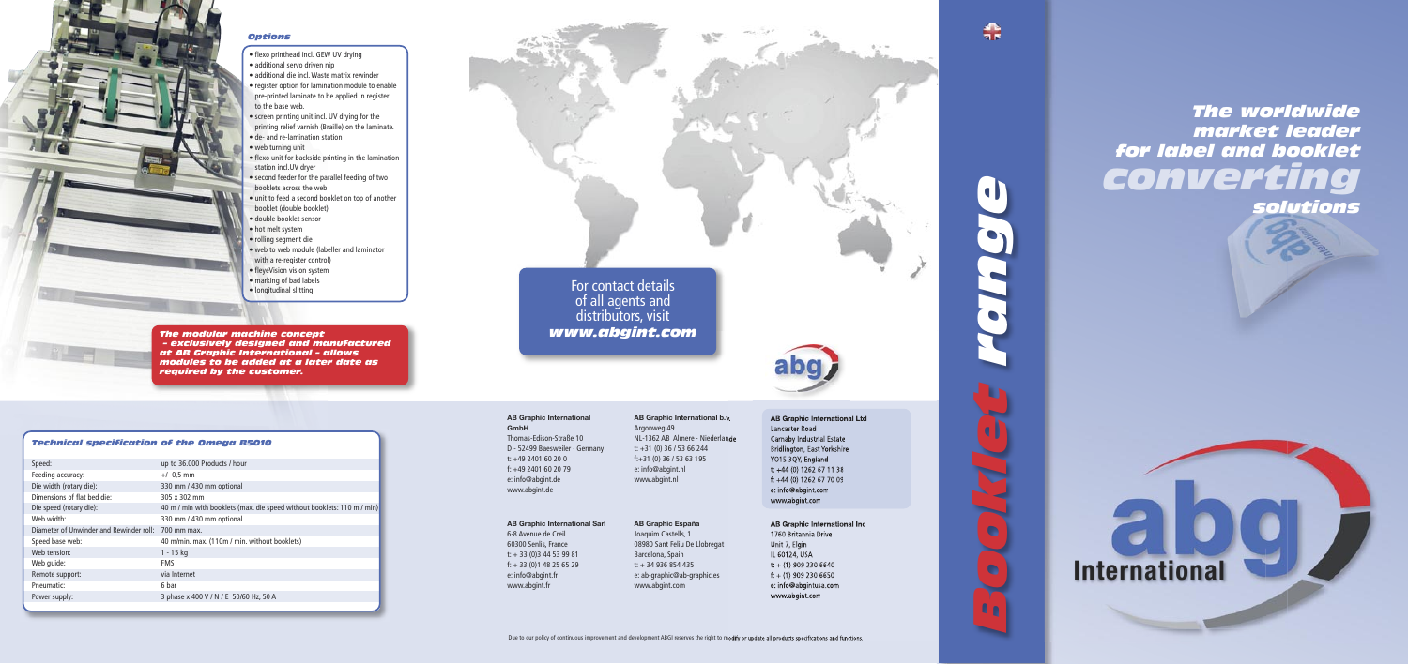#### *Technical specification of the Omega B5010*

| Speed:                                              | up to 36.000 Products / hour                                            |
|-----------------------------------------------------|-------------------------------------------------------------------------|
| Feeding accuracy:                                   | $+/- 0.5$ mm                                                            |
| Die width (rotary die):                             | 330 mm / 430 mm optional                                                |
| Dimensions of flat bed die:                         | 305 x 302 mm                                                            |
| Die speed (rotary die):                             | 40 m / min with booklets (max. die speed without booklets: 110 m / min) |
| Web width:                                          | 330 mm / 430 mm optional                                                |
| Diameter of Unwinder and Rewinder roll: 700 mm max. |                                                                         |
| Speed base web:                                     | 40 m/min. max. (110m / min. without booklets)                           |
| Web tension:                                        | $1 - 15$ kg                                                             |
| Web quide:                                          | <b>FMS</b>                                                              |
| Remote support:                                     | via Internet                                                            |
| Pneumatic:                                          | 6 bar                                                                   |
| Power supply:                                       | 3 phase x 400 V / N / E 50/60 Hz, 50 A                                  |
|                                                     |                                                                         |

### **For contact details** of all agents and distributors, visit *www.abgint.com*

*The modular machine concept – exclusively designed and manufactured at AB Graphic International – allows modules to be added at a later date as required by the customer.*



#### *Options*

**AB Graphic International Ltd** Lancaster Road Carnaby Industrial Estate Bridlington, East Yorkshire YO15 3QY, England t: +44 (0) 1262 67 11 38 f: +44 (0) 1262 67 70 09 e: info@abgint.com www.abgint.com

*Booklet range*  $\bullet$ 

鼎



#### **AB Graphic International GmbH**

Thomas-Edison-Straße 10 D - 52499 Baesweiler · Germany t: +49 2401 60 20 0 f: +49 2401 60 20 79 e: info@abgint.de www.abgint.de

#### **AB Graphic International b.v.** Argonweg 49 NL-1362 AB Almere · Niederlande t: +31 (0) 36 / 53 66 244 f:+31 (0) 36 / 53 63 195 e: info@abgint.nl www.abgint.nl

**AB Graphic International Inc**

1760 Britannia Drive Unit 7, Elgin IL 60124, USA  $t: + (1)$  909 230 6640  $f: + (1)$  909 230 6650 e: info@abgintusa.com www.abgint.com

#### **AB Graphic International Sarl AB Graphic España**

6-8 Avenue de Creil 60300 Senlis, France t: + 33 (0)3 44 53 99 81 f: + 33 (0)1 48 25 65 29 e: info@abgint.fr www.abgint.fr

Joaquim Castells, 1 08980 Sant Feliu De Llobregat Barcelona, Spain t: + 34 936 854 435 e: ab-graphic@ab-graphic.es www.abgint.com

# **International**

*The worldwide market leader for label and booklet converting* 

*solutions*

- flexo printhead incl. GEW UV drying
- additional servo driven nip
- additional die incl. Waste matrix rewinder
- register option for lamination module to enable pre-printed laminate to be applied in register to the base web.
- screen printing unit incl. UV drying for the printing relief varnish (Braille) on the laminate.
- de- and re-lamination station
- web turning unit
- flexo unit for backside printing in the lamination station incl.UV dryer
- second feeder for the parallel feeding of two booklets across the web
- unit to feed a second booklet on top of another booklet (double booklet)
- double booklet sensor
- hot melt system
- rolling segment die
- web to web module (labeller and laminator with a re-register control)
- fleyeVision vision system
- marking of bad labels
- longitudinal slitting